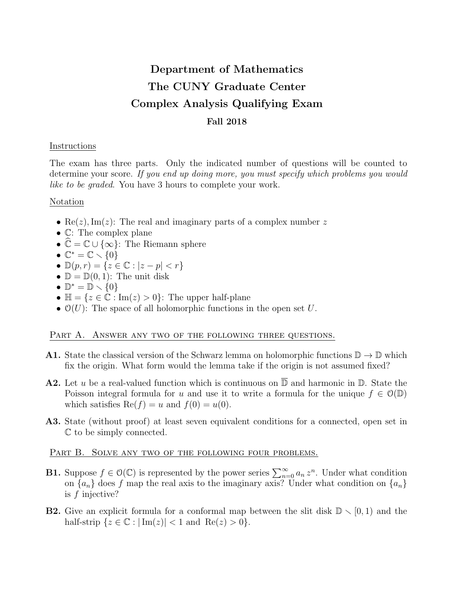# Department of Mathematics The CUNY Graduate Center Complex Analysis Qualifying Exam Fall 2018

### Instructions

The exam has three parts. Only the indicated number of questions will be counted to determine your score. If you end up doing more, you must specify which problems you would like to be graded. You have 3 hours to complete your work.

## Notation

- Re(z), Im(z): The real and imaginary parts of a complex number z
- C: The complex plane
- $\mathbb{C} = \mathbb{C} \cup \{\infty\}$ : The Riemann sphere
- $\mathbb{C}^* = \mathbb{C} \setminus \{0\}$
- $\mathbb{D}(p,r) = \{z \in \mathbb{C} : |z p| < r\}$
- $\mathbb{D} = \mathbb{D}(0, 1)$ : The unit disk
- $\mathbb{D}^* = \mathbb{D} \setminus \{0\}$
- $\mathbb{H} = \{z \in \mathbb{C} : \text{Im}(z) > 0\}$ : The upper half-plane
- $\mathcal{O}(U)$ : The space of all holomorphic functions in the open set U.

### PART A. ANSWER ANY TWO OF THE FOLLOWING THREE QUESTIONS.

- **A1.** State the classical version of the Schwarz lemma on holomorphic functions  $\mathbb{D} \to \mathbb{D}$  which fix the origin. What form would the lemma take if the origin is not assumed fixed?
- **A2.** Let u be a real-valued function which is continuous on  $\overline{D}$  and harmonic in  $D$ . State the Poisson integral formula for u and use it to write a formula for the unique  $f \in \mathcal{O}(\mathbb{D})$ which satisfies  $\text{Re}(f) = u$  and  $f(0) = u(0)$ .
- A3. State (without proof) at least seven equivalent conditions for a connected, open set in C to be simply connected.

### PART B. SOLVE ANY TWO OF THE FOLLOWING FOUR PROBLEMS.

- **B1.** Suppose  $f \in \mathcal{O}(\mathbb{C})$  is represented by the power series  $\sum_{n=0}^{\infty} a_n z^n$ . Under what condition on  ${a_n}$  does f map the real axis to the imaginary axis? Under what condition on  ${a_n}$ is f injective?
- **B2.** Give an explicit formula for a conformal map between the slit disk  $\mathbb{D} \setminus [0, 1)$  and the half-strip  $\{z \in \mathbb{C} : |\operatorname{Im}(z)| < 1 \text{ and } \operatorname{Re}(z) > 0\}.$